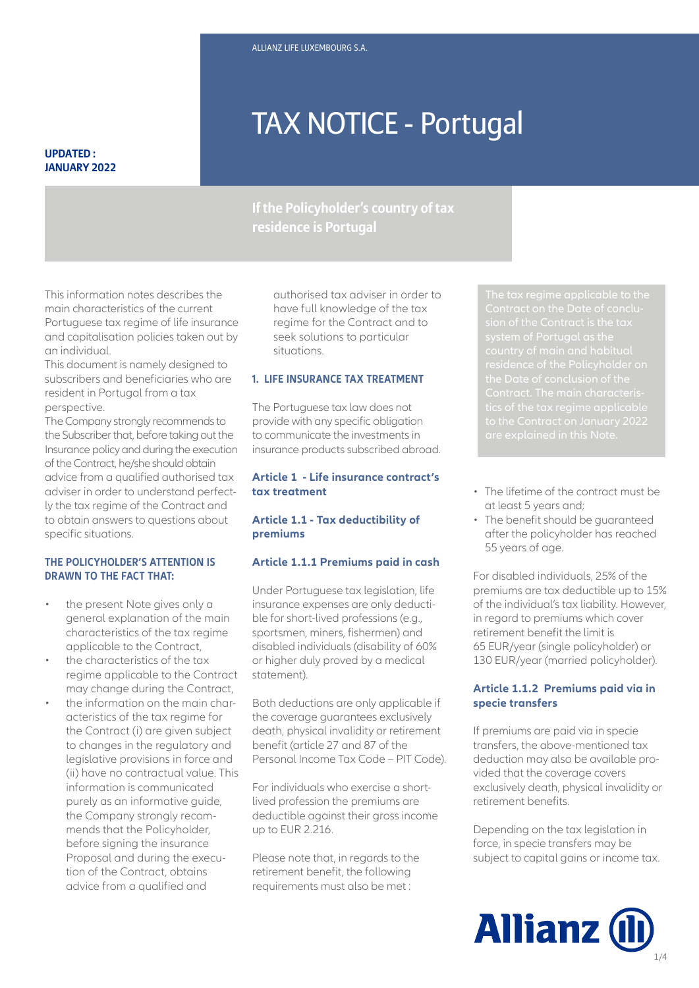# TAX NOTICE - Portugal

#### **UPDATED : JANUARY 2022**

# **If the Policyholder's country of tax residence is Portugal**

This information notes describes the main characteristics of the current Portuguese tax regime of life insurance and capitalisation policies taken out by an individual.

This document is namely designed to subscribers and beneficiaries who are resident in Portugal from a tax perspective.

The Company strongly recommends to the Subscriber that, before taking out the Insurance policy and during the execution of the Contract, he/she should obtain advice from a qualified authorised tax adviser in order to understand perfectly the tax regime of the Contract and to obtain answers to questions about specific situations.

# **THE POLICYHOLDER'S ATTENTION IS DRAWN TO THE FACT THAT:**

- the present Note gives only a general explanation of the main characteristics of the tax regime applicable to the Contract,
- the characteristics of the tax regime applicable to the Contract may change during the Contract,
- the information on the main characteristics of the tax regime for the Contract (i) are given subject to changes in the regulatory and legislative provisions in force and (ii) have no contractual value. This information is communicated purely as an informative guide, the Company strongly recommends that the Policyholder, before signing the insurance Proposal and during the execution of the Contract, obtains advice from a qualified and

authorised tax adviser in order to have full knowledge of the tax regime for the Contract and to seek solutions to particular situations.

#### **1. LIFE INSURANCE TAX TREATMENT**

The Portuguese tax law does not provide with any specific obligation to communicate the investments in insurance products subscribed abroad.

#### **Article 1 - Life insurance contract's tax treatment**

#### **Article 1.1 - Tax deductibility of premiums**

#### **Article 1.1.1 Premiums paid in cash**

or higher duly proved by a medical<br>statement). Under Portuguese tax legislation, life insurance expenses are only deductible for short-lived professions (e.g., sportsmen, miners, fishermen) and disabled individuals (disability of 60% statement).

Both deductions are only applicable if the coverage guarantees exclusively death, physical invalidity or retirement benefit (article 27 and 87 of the Personal Income Tax Code – PIT Code).

For individuals who exercise a shortlived profession the premiums are deductible against their gross income up to EUR 2.216.

Please note that, in regards to the retirement benefit, the following requirements must also be met :

- The lifetime of the contract must be at least 5 years and;
- The benefit should be guaranteed after the policyholder has reached 55 years of age.

For disabled individuals, 25% of the premiums are tax deductible up to 15% of the individual's tax liability. However, in regard to premiums which cover retirement benefit the limit is 65 EUR/year (single policyholder) or 130 EUR/year (married policyholder).

# **Article 1.1.2 Premiums paid via in specie transfers**

If premiums are paid via in specie transfers, the above-mentioned tax deduction may also be available provided that the coverage covers exclusively death, physical invalidity or retirement benefits.

Depending on the tax legislation in force, in specie transfers may be subject to capital gains or income tax.

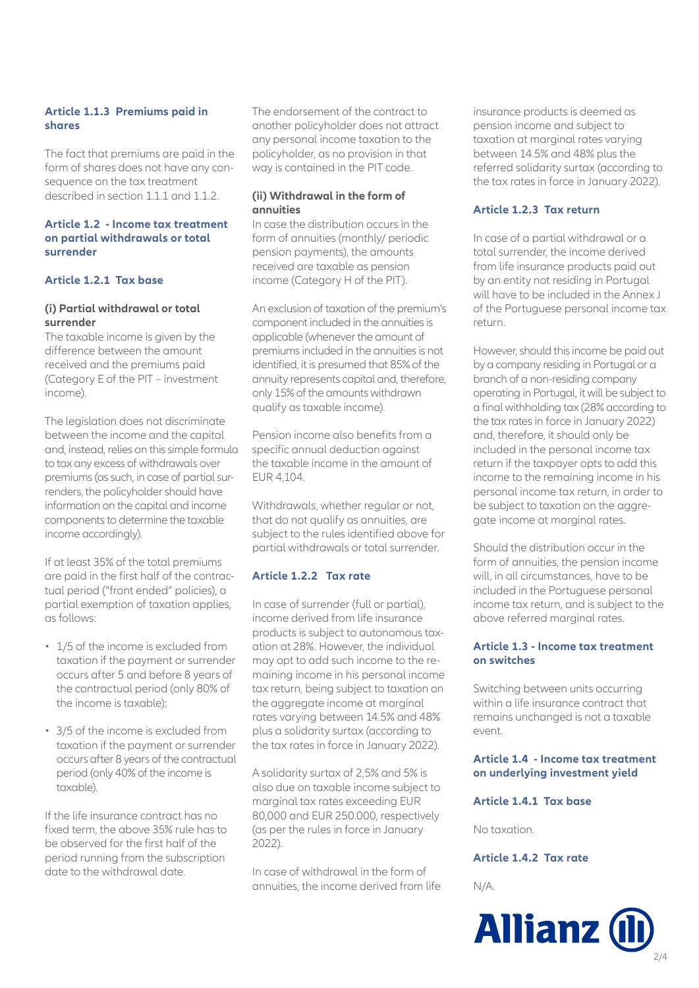# **Article 1.1.3 Premiums paid in shares**

The fact that premiums are paid in the form of shares does not have any consequence on the tax treatment described in section 1.1.1 and 1.1.2.

#### **Article 1.2 - Income tax treatment on partial withdrawals or total surrender**

# **Article 1.2.1 Tax base**

#### **(i) Partial withdrawal or total surrender**

The taxable income is given by the difference between the amount received and the premiums paid (Category E of the PIT – investment income).

The legislation does not discriminate between the income and the capital and, instead, relies on this simple formula to tax any excess of withdrawals over premiums (as such, in case of partial surrenders, the policyholder should have information on the capital and income components to determine the taxable income accordingly).

If at least 35% of the total premiums are paid in the first half of the contractual period ("front ended" policies), a partial exemption of taxation applies, as follows:

- 1/5 of the income is excluded from taxation if the payment or surrender occurs after 5 and before 8 years of the contractual period (only 80% of the income is taxable);
- 3/5 of the income is excluded from taxation if the payment or surrender occurs after 8 years of the contractual period (only 40% of the income is taxable).

If the life insurance contract has no fixed term, the above 35% rule has to be observed for the first half of the period running from the subscription date to the withdrawal date.

The endorsement of the contract to another policyholder does not attract any personal income taxation to the policyholder, as no provision in that way is contained in the PIT code.

# **(ii) Withdrawal in the form of annuities**

In case the distribution occurs in the form of annuities (monthly/ periodic pension payments), the amounts received are taxable as pension income (Category H of the PIT).

An exclusion of taxation of the premium's component included in the annuities is applicable (whenever the amount of premiums included in the annuities is not identified, it is presumed that 85% of the annuity represents capital and, therefore, only 15% of the amounts withdrawn qualify as taxable income).

Pension income also benefits from a specific annual deduction against the taxable income in the amount of EUR 4,104.

Withdrawals, whether regular or not, that do not qualify as annuities, are subject to the rules identified above for partial withdrawals or total surrender.

# **Article 1.2.2 Tax rate**

In case of surrender (full or partial), income derived from life insurance products is subject to autonomous taxation at 28%. However, the individual may opt to add such income to the remaining income in his personal income tax return, being subject to taxation on the aggregate income at marginal rates varying between 14.5% and 48% plus a solidarity surtax (according to the tax rates in force in January 2022).

A solidarity surtax of 2,5% and 5% is also due on taxable income subject to marginal tax rates exceeding EUR 80,000 and EUR 250.000, respectively (as per the rules in force in January 2022).

In case of withdrawal in the form of annuities, the income derived from life insurance products is deemed as pension income and subject to taxation at marginal rates varying between 14.5% and 48% plus the referred solidarity surtax (according to the tax rates in force in January 2022).

# **Article 1.2.3 Tax return**

In case of a partial withdrawal or a total surrender, the income derived from life insurance products paid out by an entity not residing in Portugal will have to be included in the Annex L of the Portuguese personal income tax return.

However, should this income be paid out by a company residing in Portugal or a branch of a non-residing company operating in Portugal, it will be subject to a final withholding tax (28% according to the tax rates in force in January 2022) and, therefore, it should only be included in the personal income tax return if the taxpayer opts to add this income to the remaining income in his personal income tax return, in order to be subject to taxation on the aggregate income at marginal rates.

Should the distribution occur in the form of annuities, the pension income will, in all circumstances, have to be included in the Portuguese personal income tax return, and is subject to the above referred marginal rates.

# **Article 1.3 - Income tax treatment on switches**

Switching between units occurring within a life insurance contract that remains unchanged is not a taxable event.

# **Article 1.4 - Income tax treatment on underlying investment yield**

**Article 1.4.1 Tax base**

No taxation.

# **Article 1.4.2 Tax rate**

N/A.

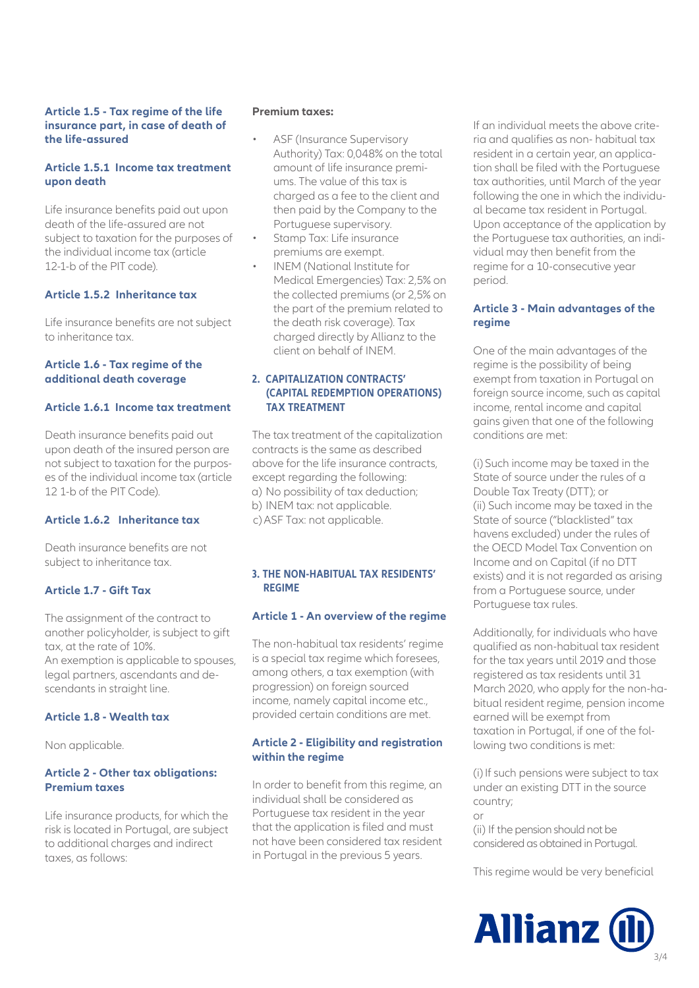#### **Article 1.5 - Tax regime of the life insurance part, in case of death of the life-assured**

## **Article 1.5.1 Income tax treatment upon death**

Life insurance benefits paid out upon death of the life-assured are not subject to taxation for the purposes of the individual income tax (article 12-1-b of the PIT code).

#### **Article 1.5.2 Inheritance tax**

Life insurance benefits are not subject to inheritance tax.

#### **Article 1.6 - Tax regime of the additional death coverage**

#### **Article 1.6.1 Income tax treatment**

Death insurance benefits paid out upon death of the insured person are not subject to taxation for the purposes of the individual income tax (article 12 1-b of the PIT Code).

# **Article 1.6.2 Inheritance tax**

Death insurance benefits are not subject to inheritance tax.

# **Article 1.7 - Gift Tax**

The assignment of the contract to another policyholder, is subject to gift tax, at the rate of 10%. An exemption is applicable to spouses, legal partners, ascendants and descendants in straight line.

#### **Article 1.8 - Wealth tax**

Non applicable.

#### **Article 2 - Other tax obligations: Premium taxes**

Life insurance products, for which the risk is located in Portugal, are subject to additional charges and indirect taxes, as follows:

#### **Premium taxes:**

- ASF (Insurance Supervisory Authority) Tax: 0,048% on the total amount of life insurance premiums. The value of this tax is charged as a fee to the client and then paid by the Company to the Portuguese supervisory.
- Stamp Tax: Life insurance premiums are exempt.
- INEM (National Institute for Medical Emergencies) Tax: 2,5% on the collected premiums (or 2,5% on the part of the premium related to the death risk coverage). Tax charged directly by Allianz to the client on behalf of INEM.

#### **2. CAPITALIZATION CONTRACTS' (CAPITAL REDEMPTION OPERATIONS) TAX TREATMENT**

The tax treatment of the capitalization contracts is the same as described above for the life insurance contracts, except regarding the following: a) No possibility of tax deduction; b) INEM tax: not applicable. c) ASF Tax: not applicable.

#### **3. THE NON-HABITUAL TAX RESIDENTS' REGIME**

#### **Article 1 - An overview of the regime**

The non-habitual tax residents' regime is a special tax regime which foresees, among others, a tax exemption (with progression) on foreign sourced income, namely capital income etc., provided certain conditions are met.

#### **Article 2 - Eligibility and registration within the regime**

In order to benefit from this regime, an individual shall be considered as Portuguese tax resident in the year that the application is filed and must not have been considered tax resident in Portugal in the previous 5 years.

If an individual meets the above criteria and qualifies as non- habitual tax resident in a certain year, an application shall be filed with the Portuguese tax authorities, until March of the year following the one in which the individual became tax resident in Portugal. Upon acceptance of the application by the Portuguese tax authorities, an individual may then benefit from the regime for a 10-consecutive year period.

#### **Article 3 - Main advantages of the regime**

One of the main advantages of the regime is the possibility of being exempt from taxation in Portugal on foreign source income, such as capital income, rental income and capital gains given that one of the following conditions are met:

(i) Such income may be taxed in the State of source under the rules of a Double Tax Treaty (DTT); or (ii) Such income may be taxed in the State of source ("blacklisted" tax havens excluded) under the rules of the OECD Model Tax Convention on Income and on Capital (if no DTT exists) and it is not regarded as arising from a Portuguese source, under Portuguese tax rules.

Additionally, for individuals who have qualified as non-habitual tax resident for the tax years until 2019 and those registered as tax residents until 31 March 2020, who apply for the non-habitual resident regime, pension income earned will be exempt from taxation in Portugal, if one of the following two conditions is met:

(i) If such pensions were subject to tax under an existing DTT in the source country;  $\cap$ r

(ii) If the pension should not be considered as obtained in Portugal.

This regime would be very beneficial